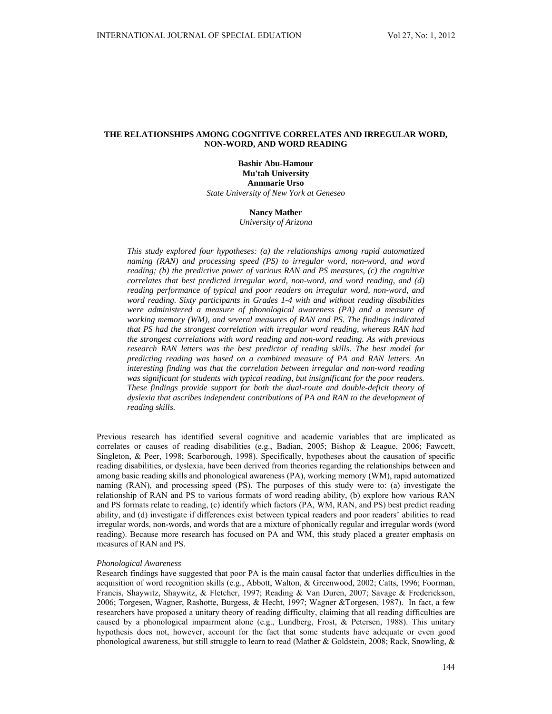# **THE RELATIONSHIPS AMONG COGNITIVE CORRELATES AND IRREGULAR WORD, NON-WORD, AND WORD READING**

**Bashir Abu-Hamour Mu'tah University Annmarie Urso**  *State University of New York at Geneseo* 

## **Nancy Mather**

*University of Arizona* 

*This study explored four hypotheses: (a) the relationships among rapid automatized naming (RAN) and processing speed (PS) to irregular word, non-word, and word reading; (b) the predictive power of various RAN and PS measures, (c) the cognitive correlates that best predicted irregular word, non-word, and word reading, and (d) reading performance of typical and poor readers on irregular word, non-word, and word reading. Sixty participants in Grades 1-4 with and without reading disabilities were administered a measure of phonological awareness (PA) and a measure of working memory (WM), and several measures of RAN and PS. The findings indicated that PS had the strongest correlation with irregular word reading, whereas RAN had the strongest correlations with word reading and non-word reading. As with previous research RAN letters was the best predictor of reading skills. The best model for predicting reading was based on a combined measure of PA and RAN letters. An interesting finding was that the correlation between irregular and non-word reading was significant for students with typical reading, but insignificant for the poor readers. These findings provide support for both the dual-route and double-deficit theory of dyslexia that ascribes independent contributions of PA and RAN to the development of reading skills.* 

Previous research has identified several cognitive and academic variables that are implicated as correlates or causes of reading disabilities (e.g., Badian, 2005; Bishop & League, 2006; Fawcett, Singleton, & Peer, 1998; Scarborough, 1998). Specifically, hypotheses about the causation of specific reading disabilities, or dyslexia, have been derived from theories regarding the relationships between and among basic reading skills and phonological awareness (PA), working memory (WM), rapid automatized naming (RAN), and processing speed (PS). The purposes of this study were to: (a) investigate the relationship of RAN and PS to various formats of word reading ability, (b) explore how various RAN and PS formats relate to reading, (c) identify which factors (PA, WM, RAN, and PS) best predict reading ability, and (d) investigate if differences exist between typical readers and poor readers' abilities to read irregular words, non-words, and words that are a mixture of phonically regular and irregular words (word reading). Because more research has focused on PA and WM, this study placed a greater emphasis on measures of RAN and PS.

### *Phonological Awareness*

Research findings have suggested that poor PA is the main causal factor that underlies difficulties in the acquisition of word recognition skills (e.g., Abbott, Walton, & Greenwood, 2002; Catts, 1996; Foorman, Francis, Shaywitz, Shaywitz, & Fletcher, 1997; Reading & Van Duren, 2007; Savage & Frederickson, 2006; Torgesen, Wagner, Rashotte, Burgess, & Hecht, 1997; Wagner &Torgesen, 1987). In fact, a few researchers have proposed a unitary theory of reading difficulty, claiming that all reading difficulties are caused by a phonological impairment alone (e.g., Lundberg, Frost, & Petersen, 1988). This unitary hypothesis does not, however, account for the fact that some students have adequate or even good phonological awareness, but still struggle to learn to read (Mather & Goldstein, 2008; Rack, Snowling, &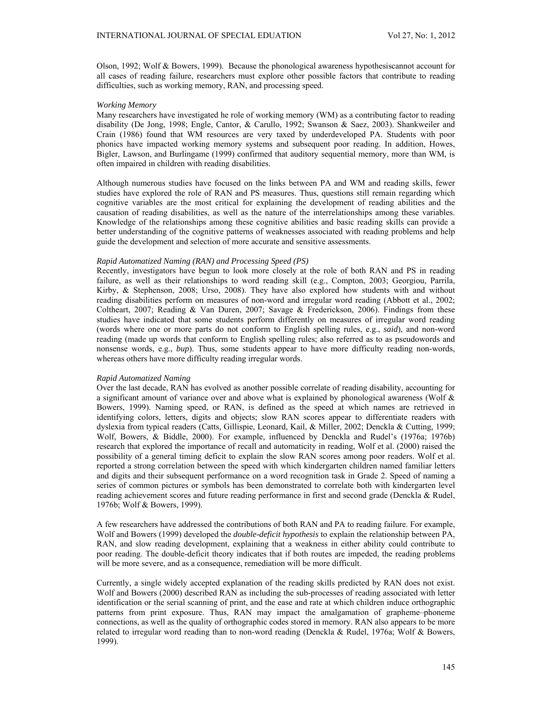Olson, 1992; Wolf & Bowers, 1999). Because the phonological awareness hypothesiscannot account for all cases of reading failure, researchers must explore other possible factors that contribute to reading difficulties, such as working memory, RAN, and processing speed.

### *Working Memory*

Many researchers have investigated he role of working memory (WM) as a contributing factor to reading disability (De Jong, 1998; Engle, Cantor, & Carullo, 1992; Swanson & Saez, 2003). Shankweiler and Crain (1986) found that WM resources are very taxed by underdeveloped PA. Students with poor phonics have impacted working memory systems and subsequent poor reading. In addition, Howes, Bigler, Lawson, and Burlingame (1999) confirmed that auditory sequential memory, more than WM, is often impaired in children with reading disabilities.

Although numerous studies have focused on the links between PA and WM and reading skills, fewer studies have explored the role of RAN and PS measures. Thus, questions still remain regarding which cognitive variables are the most critical for explaining the development of reading abilities and the causation of reading disabilities, as well as the nature of the interrelationships among these variables. Knowledge of the relationships among these cognitive abilities and basic reading skills can provide a better understanding of the cognitive patterns of weaknesses associated with reading problems and help guide the development and selection of more accurate and sensitive assessments.

## *Rapid Automatized Naming (RAN) and Processing Speed (PS)*

Recently, investigators have begun to look more closely at the role of both RAN and PS in reading failure, as well as their relationships to word reading skill (e.g., Compton, 2003; Georgiou, Parrila, Kirby, & Stephenson, 2008; Urso, 2008). They have also explored how students with and without reading disabilities perform on measures of non-word and irregular word reading (Abbott et al., 2002; Coltheart, 2007; Reading & Van Duren, 2007; Savage & Frederickson, 2006). Findings from these studies have indicated that some students perform differently on measures of irregular word reading (words where one or more parts do not conform to English spelling rules, e.g., *said*), and non-word reading (made up words that conform to English spelling rules; also referred as to as pseudowords and nonsense words, e.g., *bup*). Thus, some students appear to have more difficulty reading non-words, whereas others have more difficulty reading irregular words.

# *Rapid Automatized Naming*

Over the last decade, RAN has evolved as another possible correlate of reading disability, accounting for a significant amount of variance over and above what is explained by phonological awareness (Wolf & Bowers, 1999). Naming speed, or RAN, is defined as the speed at which names are retrieved in identifying colors, letters, digits and objects; slow RAN scores appear to differentiate readers with dyslexia from typical readers (Catts, Gillispie, Leonard, Kail, & Miller, 2002; Denckla & Cutting, 1999; Wolf, Bowers, & Biddle, 2000). For example, influenced by Denckla and Rudel's (1976a; 1976b) research that explored the importance of recall and automaticity in reading, Wolf et al. (2000) raised the possibility of a general timing deficit to explain the slow RAN scores among poor readers. Wolf et al. reported a strong correlation between the speed with which kindergarten children named familiar letters and digits and their subsequent performance on a word recognition task in Grade 2. Speed of naming a series of common pictures or symbols has been demonstrated to correlate both with kindergarten level reading achievement scores and future reading performance in first and second grade (Denckla & Rudel, 1976b; Wolf & Bowers, 1999).

A few researchers have addressed the contributions of both RAN and PA to reading failure. For example, Wolf and Bowers (1999) developed the *double-deficit hypothesis* to explain the relationship between PA, RAN, and slow reading development, explaining that a weakness in either ability could contribute to poor reading. The double-deficit theory indicates that if both routes are impeded, the reading problems will be more severe, and as a consequence, remediation will be more difficult.

Currently, a single widely accepted explanation of the reading skills predicted by RAN does not exist. Wolf and Bowers (2000) described RAN as including the sub-processes of reading associated with letter identification or the serial scanning of print, and the ease and rate at which children induce orthographic patterns from print exposure. Thus, RAN may impact the amalgamation of grapheme–phoneme connections, as well as the quality of orthographic codes stored in memory. RAN also appears to be more related to irregular word reading than to non-word reading (Denckla & Rudel, 1976a; Wolf & Bowers, 1999).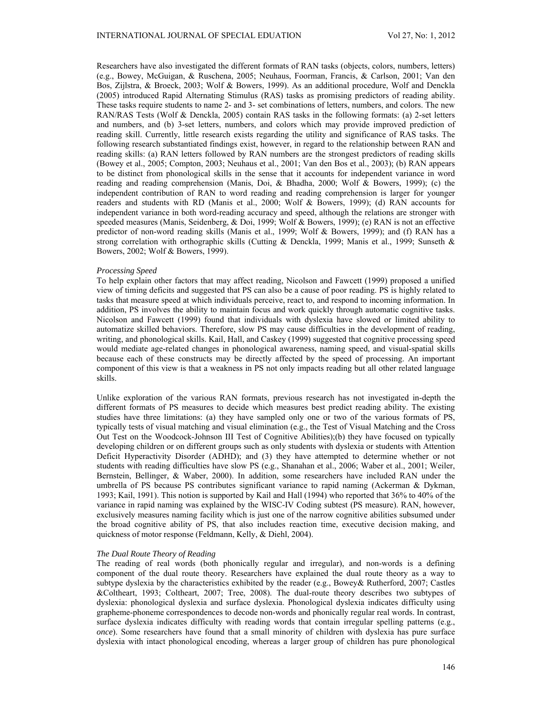Researchers have also investigated the different formats of RAN tasks (objects, colors, numbers, letters) (e.g., Bowey, McGuigan, & Ruschena, 2005; Neuhaus, Foorman, Francis, & Carlson, 2001; Van den Bos, Zijlstra, & Broeck, 2003; Wolf & Bowers, 1999). As an additional procedure, Wolf and Denckla (2005) introduced Rapid Alternating Stimulus (RAS) tasks as promising predictors of reading ability. These tasks require students to name 2- and 3- set combinations of letters, numbers, and colors. The new RAN/RAS Tests (Wolf & Denckla, 2005) contain RAS tasks in the following formats: (a) 2-set letters and numbers, and (b) 3-set letters, numbers, and colors which may provide improved prediction of reading skill. Currently, little research exists regarding the utility and significance of RAS tasks. The following research substantiated findings exist, however, in regard to the relationship between RAN and reading skills: (a) RAN letters followed by RAN numbers are the strongest predictors of reading skills (Bowey et al., 2005; Compton, 2003; Neuhaus et al., 2001; Van den Bos et al., 2003); (b) RAN appears to be distinct from phonological skills in the sense that it accounts for independent variance in word reading and reading comprehension (Manis, Doi, & Bhadha, 2000; Wolf & Bowers, 1999); (c) the independent contribution of RAN to word reading and reading comprehension is larger for younger readers and students with RD (Manis et al., 2000; Wolf & Bowers, 1999); (d) RAN accounts for independent variance in both word-reading accuracy and speed, although the relations are stronger with speeded measures (Manis, Seidenberg, & Doi, 1999; Wolf & Bowers, 1999); (e) RAN is not an effective predictor of non-word reading skills (Manis et al., 1999; Wolf & Bowers, 1999); and (f) RAN has a strong correlation with orthographic skills (Cutting & Denckla, 1999; Manis et al., 1999; Sunseth & Bowers, 2002; Wolf & Bowers, 1999).

#### *Processing Speed*

To help explain other factors that may affect reading, Nicolson and Fawcett (1999) proposed a unified view of timing deficits and suggested that PS can also be a cause of poor reading. PS is highly related to tasks that measure speed at which individuals perceive, react to, and respond to incoming information. In addition, PS involves the ability to maintain focus and work quickly through automatic cognitive tasks. Nicolson and Fawcett (1999) found that individuals with dyslexia have slowed or limited ability to automatize skilled behaviors. Therefore, slow PS may cause difficulties in the development of reading, writing, and phonological skills. Kail, Hall, and Caskey (1999) suggested that cognitive processing speed would mediate age-related changes in phonological awareness, naming speed, and visual-spatial skills because each of these constructs may be directly affected by the speed of processing. An important component of this view is that a weakness in PS not only impacts reading but all other related language skills.

Unlike exploration of the various RAN formats, previous research has not investigated in-depth the different formats of PS measures to decide which measures best predict reading ability. The existing studies have three limitations: (a) they have sampled only one or two of the various formats of PS, typically tests of visual matching and visual elimination (e.g., the Test of Visual Matching and the Cross Out Test on the Woodcock-Johnson III Test of Cognitive Abilities);(b) they have focused on typically developing children or on different groups such as only students with dyslexia or students with Attention Deficit Hyperactivity Disorder (ADHD); and (3) they have attempted to determine whether or not students with reading difficulties have slow PS (e.g., Shanahan et al., 2006; Waber et al., 2001; Weiler, Bernstein, Bellinger, & Waber, 2000). In addition, some researchers have included RAN under the umbrella of PS because PS contributes significant variance to rapid naming (Ackerman & Dykman, 1993; Kail, 1991). This notion is supported by Kail and Hall (1994) who reported that 36% to 40% of the variance in rapid naming was explained by the WISC-IV Coding subtest (PS measure). RAN, however, exclusively measures naming facility which is just one of the narrow cognitive abilities subsumed under the broad cognitive ability of PS, that also includes reaction time, executive decision making, and quickness of motor response (Feldmann, Kelly, & Diehl, 2004).

#### *The Dual Route Theory of Reading*

The reading of real words (both phonically regular and irregular), and non-words is a defining component of the dual route theory. Researchers have explained the dual route theory as a way to subtype dyslexia by the characteristics exhibited by the reader (e.g., Bowey& Rutherford, 2007; Castles &Coltheart, 1993; Coltheart, 2007; Tree, 2008). The dual-route theory describes two subtypes of dyslexia: phonological dyslexia and surface dyslexia. Phonological dyslexia indicates difficulty using grapheme-phoneme correspondences to decode non-words and phonically regular real words. In contrast, surface dyslexia indicates difficulty with reading words that contain irregular spelling patterns (e.g., *once*). Some researchers have found that a small minority of children with dyslexia has pure surface dyslexia with intact phonological encoding, whereas a larger group of children has pure phonological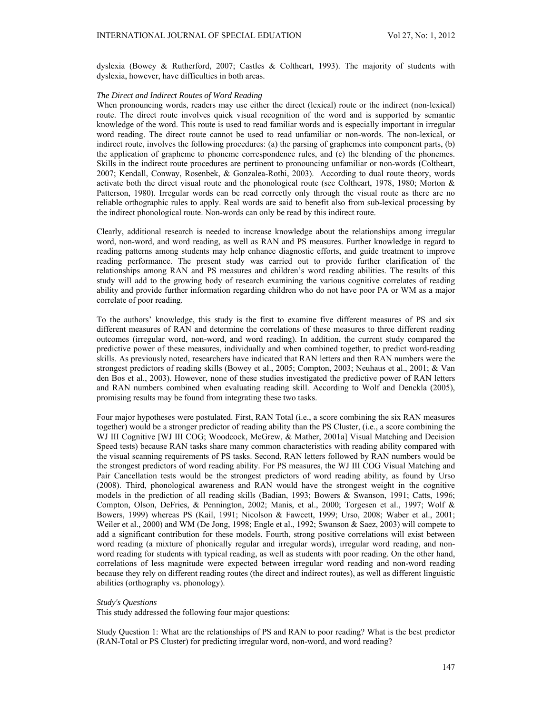dyslexia (Bowey & Rutherford, 2007; Castles & Coltheart, 1993). The majority of students with dyslexia, however, have difficulties in both areas.

### *The Direct and Indirect Routes of Word Reading*

When pronouncing words, readers may use either the direct (lexical) route or the indirect (non-lexical) route. The direct route involves quick visual recognition of the word and is supported by semantic knowledge of the word. This route is used to read familiar words and is especially important in irregular word reading. The direct route cannot be used to read unfamiliar or non-words. The non-lexical, or indirect route, involves the following procedures: (a) the parsing of graphemes into component parts, (b) the application of grapheme to phoneme correspondence rules, and (c) the blending of the phonemes. Skills in the indirect route procedures are pertinent to pronouncing unfamiliar or non-words (Coltheart, 2007; Kendall, Conway, Rosenbek, & Gonzalea-Rothi, 2003). According to dual route theory, words activate both the direct visual route and the phonological route (see Coltheart, 1978, 1980; Morton & Patterson, 1980). Irregular words can be read correctly only through the visual route as there are no reliable orthographic rules to apply. Real words are said to benefit also from sub-lexical processing by the indirect phonological route. Non-words can only be read by this indirect route.

Clearly, additional research is needed to increase knowledge about the relationships among irregular word, non-word, and word reading, as well as RAN and PS measures. Further knowledge in regard to reading patterns among students may help enhance diagnostic efforts, and guide treatment to improve reading performance. The present study was carried out to provide further clarification of the relationships among RAN and PS measures and children's word reading abilities. The results of this study will add to the growing body of research examining the various cognitive correlates of reading ability and provide further information regarding children who do not have poor PA or WM as a major correlate of poor reading.

To the authors' knowledge, this study is the first to examine five different measures of PS and six different measures of RAN and determine the correlations of these measures to three different reading outcomes (irregular word, non-word, and word reading). In addition, the current study compared the predictive power of these measures, individually and when combined together, to predict word-reading skills. As previously noted, researchers have indicated that RAN letters and then RAN numbers were the strongest predictors of reading skills (Bowey et al., 2005; Compton, 2003; Neuhaus et al., 2001; & Van den Bos et al., 2003). However, none of these studies investigated the predictive power of RAN letters and RAN numbers combined when evaluating reading skill. According to Wolf and Denckla (2005), promising results may be found from integrating these two tasks.

Four major hypotheses were postulated. First, RAN Total (i.e., a score combining the six RAN measures together) would be a stronger predictor of reading ability than the PS Cluster, (i.e., a score combining the WJ III Cognitive [WJ III COG; Woodcock, McGrew, & Mather, 2001a] Visual Matching and Decision Speed tests) because RAN tasks share many common characteristics with reading ability compared with the visual scanning requirements of PS tasks. Second, RAN letters followed by RAN numbers would be the strongest predictors of word reading ability. For PS measures, the WJ III COG Visual Matching and Pair Cancellation tests would be the strongest predictors of word reading ability, as found by Urso (2008). Third, phonological awareness and RAN would have the strongest weight in the cognitive models in the prediction of all reading skills (Badian, 1993; Bowers & Swanson, 1991; Catts, 1996; Compton, Olson, DeFries, & Pennington, 2002; Manis, et al., 2000; Torgesen et al., 1997; Wolf & Bowers, 1999) whereas PS (Kail, 1991; Nicolson & Fawcett, 1999; Urso, 2008; Waber et al., 2001; Weiler et al., 2000) and WM (De Jong, 1998; Engle et al., 1992; Swanson & Saez, 2003) will compete to add a significant contribution for these models. Fourth, strong positive correlations will exist between word reading (a mixture of phonically regular and irregular words), irregular word reading, and nonword reading for students with typical reading, as well as students with poor reading. On the other hand, correlations of less magnitude were expected between irregular word reading and non-word reading because they rely on different reading routes (the direct and indirect routes), as well as different linguistic abilities (orthography vs. phonology).

#### *Study's Questions*

This study addressed the following four major questions:

Study Question 1: What are the relationships of PS and RAN to poor reading? What is the best predictor (RAN-Total or PS Cluster) for predicting irregular word, non-word, and word reading?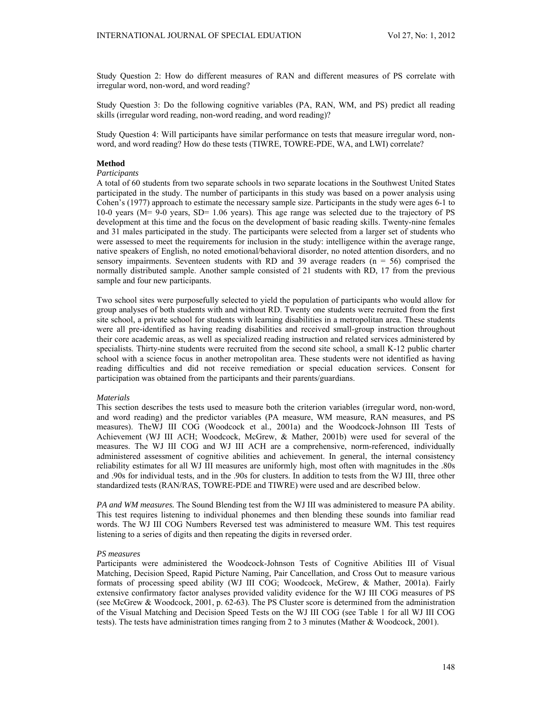Study Question 2: How do different measures of RAN and different measures of PS correlate with irregular word, non-word, and word reading?

Study Question 3: Do the following cognitive variables (PA, RAN, WM, and PS) predict all reading skills (irregular word reading, non-word reading, and word reading)?

Study Question 4: Will participants have similar performance on tests that measure irregular word, nonword, and word reading? How do these tests (TIWRE, TOWRE-PDE, WA, and LWI) correlate?

# **Method**

### *Participants*

A total of 60 students from two separate schools in two separate locations in the Southwest United States participated in the study. The number of participants in this study was based on a power analysis using Cohen's (1977) approach to estimate the necessary sample size. Participants in the study were ages 6-1 to 10-0 years (M= 9-0 years, SD= 1.06 years). This age range was selected due to the trajectory of PS development at this time and the focus on the development of basic reading skills. Twenty-nine females and 31 males participated in the study. The participants were selected from a larger set of students who were assessed to meet the requirements for inclusion in the study: intelligence within the average range, native speakers of English, no noted emotional/behavioral disorder, no noted attention disorders, and no sensory impairments. Seventeen students with RD and 39 average readers  $(n = 56)$  comprised the normally distributed sample. Another sample consisted of 21 students with RD, 17 from the previous sample and four new participants.

Two school sites were purposefully selected to yield the population of participants who would allow for group analyses of both students with and without RD. Twenty one students were recruited from the first site school, a private school for students with learning disabilities in a metropolitan area. These students were all pre-identified as having reading disabilities and received small-group instruction throughout their core academic areas, as well as specialized reading instruction and related services administered by specialists. Thirty-nine students were recruited from the second site school, a small K-12 public charter school with a science focus in another metropolitan area. These students were not identified as having reading difficulties and did not receive remediation or special education services. Consent for participation was obtained from the participants and their parents/guardians.

### *Materials*

This section describes the tests used to measure both the criterion variables (irregular word, non-word, and word reading) and the predictor variables (PA measure, WM measure, RAN measures, and PS measures). TheWJ III COG (Woodcock et al., 2001a) and the Woodcock-Johnson III Tests of Achievement (WJ III ACH; Woodcock, McGrew, & Mather, 2001b) were used for several of the measures. The WJ III COG and WJ III ACH are a comprehensive, norm-referenced, individually administered assessment of cognitive abilities and achievement. In general, the internal consistency reliability estimates for all WJ III measures are uniformly high, most often with magnitudes in the .80s and .90s for individual tests, and in the .90s for clusters. In addition to tests from the WJ III, three other standardized tests (RAN/RAS, TOWRE-PDE and TIWRE) were used and are described below.

*PA and WM measures.* The Sound Blending test from the WJ III was administered to measure PA ability. This test requires listening to individual phonemes and then blending these sounds into familiar read words. The WJ III COG Numbers Reversed test was administered to measure WM. This test requires listening to a series of digits and then repeating the digits in reversed order.

## *PS measures*

Participants were administered the Woodcock-Johnson Tests of Cognitive Abilities III of Visual Matching, Decision Speed, Rapid Picture Naming, Pair Cancellation, and Cross Out to measure various formats of processing speed ability (WJ III COG; Woodcock, McGrew, & Mather, 2001a). Fairly extensive confirmatory factor analyses provided validity evidence for the WJ III COG measures of PS (see McGrew & Woodcock, 2001, p. 62-63). The PS Cluster score is determined from the administration of the Visual Matching and Decision Speed Tests on the WJ III COG (see Table 1 for all WJ III COG tests). The tests have administration times ranging from 2 to 3 minutes (Mather & Woodcock, 2001).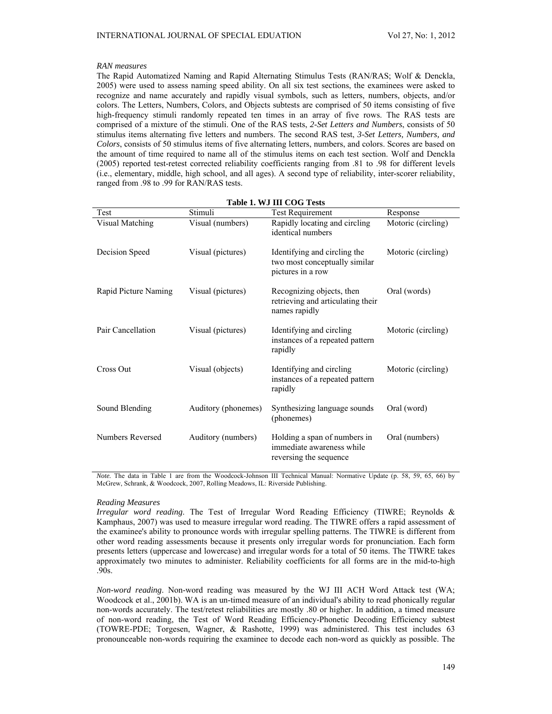## *RAN measures*

The Rapid Automatized Naming and Rapid Alternating Stimulus Tests (RAN/RAS; Wolf & Denckla, 2005) were used to assess naming speed ability. On all six test sections, the examinees were asked to recognize and name accurately and rapidly visual symbols, such as letters, numbers, objects, and/or colors. The Letters, Numbers, Colors, and Objects subtests are comprised of 50 items consisting of five high-frequency stimuli randomly repeated ten times in an array of five rows. The RAS tests are comprised of a mixture of the stimuli. One of the RAS tests, *2-Set Letters and Numbers*, consists of 50 stimulus items alternating five letters and numbers. The second RAS test, *3-Set Letters, Numbers, and Colors*, consists of 50 stimulus items of five alternating letters, numbers, and colors. Scores are based on the amount of time required to name all of the stimulus items on each test section. Wolf and Denckla (2005) reported test-retest corrected reliability coefficients ranging from .81 to .98 for different levels (i.e., elementary, middle, high school, and all ages). A second type of reliability, inter-scorer reliability, ranged from .98 to .99 for RAN/RAS tests.

| Table 1. WJ III COG Tests |                     |                                                                                     |                    |  |  |  |
|---------------------------|---------------------|-------------------------------------------------------------------------------------|--------------------|--|--|--|
| Test                      | Stimuli             | <b>Test Requirement</b>                                                             | Response           |  |  |  |
| Visual Matching           | Visual (numbers)    | Rapidly locating and circling<br>identical numbers                                  | Motoric (circling) |  |  |  |
| Decision Speed            | Visual (pictures)   | Identifying and circling the<br>two most conceptually similar<br>pictures in a row  | Motoric (circling) |  |  |  |
| Rapid Picture Naming      | Visual (pictures)   | Recognizing objects, then<br>retrieving and articulating their<br>names rapidly     | Oral (words)       |  |  |  |
| Pair Cancellation         | Visual (pictures)   | Identifying and circling<br>instances of a repeated pattern<br>rapidly              | Motoric (circling) |  |  |  |
| Cross Out                 | Visual (objects)    | Identifying and circling<br>instances of a repeated pattern<br>rapidly              | Motoric (circling) |  |  |  |
| Sound Blending            | Auditory (phonemes) | Synthesizing language sounds<br>(phonemes)                                          | Oral (word)        |  |  |  |
| Numbers Reversed          | Auditory (numbers)  | Holding a span of numbers in<br>immediate awareness while<br>reversing the sequence | Oral (numbers)     |  |  |  |

*Note.* The data in Table 1 are from the Woodcock-Johnson III Technical Manual: Normative Update (p. 58, 59, 65, 66) by McGrew, Schrank, & Woodcock, 2007, Rolling Meadows, IL: Riverside Publishing.

#### *Reading Measures*

*Irregular word reading*. The Test of Irregular Word Reading Efficiency (TIWRE; Reynolds & Kamphaus, 2007) was used to measure irregular word reading. The TIWRE offers a rapid assessment of the examinee's ability to pronounce words with irregular spelling patterns. The TIWRE is different from other word reading assessments because it presents only irregular words for pronunciation. Each form presents letters (uppercase and lowercase) and irregular words for a total of 50 items. The TIWRE takes approximately two minutes to administer. Reliability coefficients for all forms are in the mid-to-high .90s.

*Non-word reading*. Non-word reading was measured by the WJ III ACH Word Attack test (WA; Woodcock et al., 2001b). WA is an un-timed measure of an individual's ability to read phonically regular non-words accurately. The test/retest reliabilities are mostly .80 or higher. In addition, a timed measure of non-word reading, the Test of Word Reading Efficiency-Phonetic Decoding Efficiency subtest (TOWRE-PDE; Torgesen, Wagner, & Rashotte, 1999) was administered. This test includes 63 pronounceable non-words requiring the examinee to decode each non-word as quickly as possible. The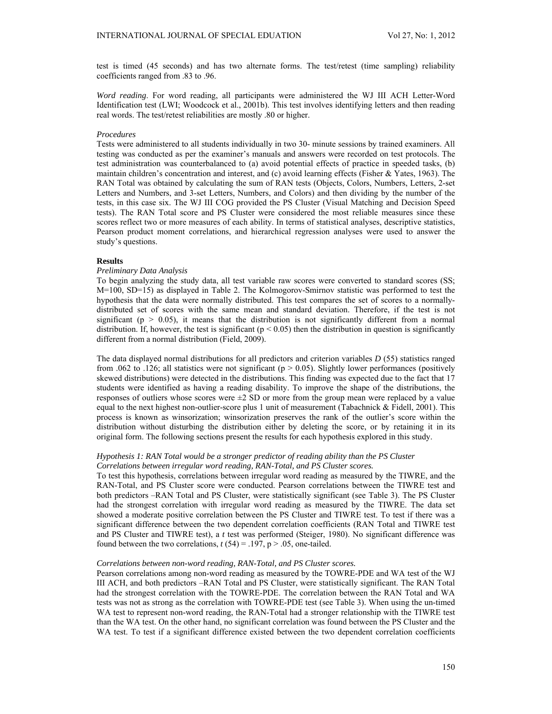test is timed (45 seconds) and has two alternate forms. The test/retest (time sampling) reliability coefficients ranged from .83 to .96.

*Word reading*. For word reading, all participants were administered the WJ III ACH Letter-Word Identification test (LWI; Woodcock et al., 2001b). This test involves identifying letters and then reading real words. The test/retest reliabilities are mostly .80 or higher.

#### *Procedures*

Tests were administered to all students individually in two 30- minute sessions by trained examiners. All testing was conducted as per the examiner's manuals and answers were recorded on test protocols. The test administration was counterbalanced to (a) avoid potential effects of practice in speeded tasks, (b) maintain children's concentration and interest, and (c) avoid learning effects (Fisher & Yates, 1963). The RAN Total was obtained by calculating the sum of RAN tests (Objects, Colors, Numbers, Letters, 2-set Letters and Numbers, and 3-set Letters, Numbers, and Colors) and then dividing by the number of the tests, in this case six. The WJ III COG provided the PS Cluster (Visual Matching and Decision Speed tests). The RAN Total score and PS Cluster were considered the most reliable measures since these scores reflect two or more measures of each ability. In terms of statistical analyses, descriptive statistics, Pearson product moment correlations, and hierarchical regression analyses were used to answer the study's questions.

### **Results**

## *Preliminary Data Analysis*

To begin analyzing the study data, all test variable raw scores were converted to standard scores (SS; M=100, SD=15) as displayed in Table 2. The Kolmogorov-Smirnov statistic was performed to test the hypothesis that the data were normally distributed. This test compares the set of scores to a normallydistributed set of scores with the same mean and standard deviation. Therefore, if the test is not significant ( $p > 0.05$ ), it means that the distribution is not significantly different from a normal distribution. If, however, the test is significant ( $p < 0.05$ ) then the distribution in question is significantly different from a normal distribution (Field, 2009).

The data displayed normal distributions for all predictors and criterion variables *D* (55) statistics ranged from .062 to .126; all statistics were not significant ( $p > 0.05$ ). Slightly lower performances (positively skewed distributions) were detected in the distributions. This finding was expected due to the fact that 17 students were identified as having a reading disability. To improve the shape of the distributions, the responses of outliers whose scores were  $\pm 2$  SD or more from the group mean were replaced by a value equal to the next highest non-outlier-score plus 1 unit of measurement (Tabachnick & Fidell, 2001). This process is known as winsorization; winsorization preserves the rank of the outlier's score within the distribution without disturbing the distribution either by deleting the score, or by retaining it in its original form. The following sections present the results for each hypothesis explored in this study.

### *Hypothesis 1: RAN Total would be a stronger predictor of reading ability than the PS Cluster Correlations between irregular word reading, RAN-Total, and PS Cluster scores.*

To test this hypothesis, correlations between irregular word reading as measured by the TIWRE, and the RAN-Total, and PS Cluster score were conducted. Pearson correlations between the TIWRE test and both predictors –RAN Total and PS Cluster, were statistically significant (see Table 3). The PS Cluster had the strongest correlation with irregular word reading as measured by the TIWRE. The data set showed a moderate positive correlation between the PS Cluster and TIWRE test. To test if there was a significant difference between the two dependent correlation coefficients (RAN Total and TIWRE test and PS Cluster and TIWRE test), a *t* test was performed (Steiger, 1980). No significant difference was found between the two correlations,  $t(54) = .197$ ,  $p > .05$ , one-tailed.

### *Correlations between non-word reading, RAN-Total, and PS Cluster scores.*

Pearson correlations among non-word reading as measured by the TOWRE-PDE and WA test of the WJ III ACH, and both predictors –RAN Total and PS Cluster, were statistically significant. The RAN Total had the strongest correlation with the TOWRE-PDE. The correlation between the RAN Total and WA tests was not as strong as the correlation with TOWRE-PDE test (see Table 3). When using the un-timed WA test to represent non-word reading, the RAN-Total had a stronger relationship with the TIWRE test than the WA test. On the other hand, no significant correlation was found between the PS Cluster and the WA test. To test if a significant difference existed between the two dependent correlation coefficients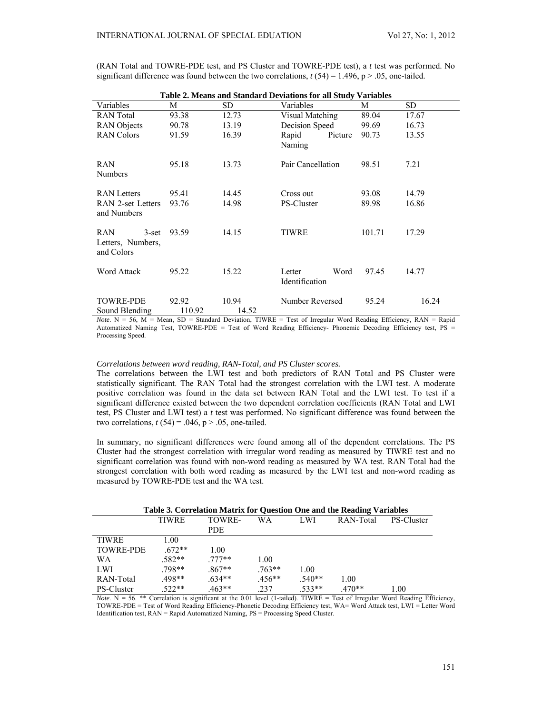(RAN Total and TOWRE-PDE test, and PS Cluster and TOWRE-PDE test), a *t* test was performed. No significant difference was found between the two correlations,  $t(54) = 1.496$ , p > .05, one-tailed.

| Table 2. Means and Standard Deviations for all Study Variables |                 |                |                                  |        |       |  |  |  |
|----------------------------------------------------------------|-----------------|----------------|----------------------------------|--------|-------|--|--|--|
| Variables                                                      | M               | SD.            | Variables                        | М      | SD    |  |  |  |
| <b>RAN</b> Total                                               | 93.38           | 12.73          | Visual Matching                  | 89.04  | 17.67 |  |  |  |
| <b>RAN</b> Objects                                             | 90.78           | 13.19          | Decision Speed                   | 99.69  | 16.73 |  |  |  |
| <b>RAN</b> Colors                                              | 91.59           | 16.39          | Rapid<br>Picture<br>Naming       | 90.73  | 13.55 |  |  |  |
| RAN<br><b>Numbers</b>                                          | 95.18           | 13.73          | Pair Cancellation                | 98.51  | 7.21  |  |  |  |
| <b>RAN</b> Letters                                             | 95.41           | 14.45          | Cross out                        | 93.08  | 14.79 |  |  |  |
| RAN 2-set Letters<br>and Numbers                               | 93.76           | 14.98          | PS-Cluster                       | 89.98  | 16.86 |  |  |  |
| <b>RAN</b><br>$3$ -set<br>Letters, Numbers,<br>and Colors      | 93.59           | 14.15          | TIWRE                            | 101.71 | 17.29 |  |  |  |
| <b>Word Attack</b>                                             | 95.22           | 15.22          | Word<br>Letter<br>Identification | 97.45  | 14.77 |  |  |  |
| <b>TOWRE-PDE</b><br>Sound Blending                             | 92.92<br>110.92 | 10.94<br>14.52 | Number Reversed                  | 95.24  | 16.24 |  |  |  |

*,*  $N = 56$ *,*  $M = Mean$ *,*  $SD = Standard Deviation$ *, TIWRE = Test of Irregular Word Reading Efficiency,*  $RAN = Ranid$ Automatized Naming Test, TOWRE-PDE = Test of Word Reading Efficiency- Phonemic Decoding Efficiency test, PS = Processing Speed.

#### *Correlations between word reading, RAN-Total, and PS Cluster scores.*

The correlations between the LWI test and both predictors of RAN Total and PS Cluster were statistically significant. The RAN Total had the strongest correlation with the LWI test. A moderate positive correlation was found in the data set between RAN Total and the LWI test. To test if a significant difference existed between the two dependent correlation coefficients (RAN Total and LWI test, PS Cluster and LWI test) a *t* test was performed. No significant difference was found between the two correlations,  $t(54) = .046$ ,  $p > .05$ , one-tailed.

In summary, no significant differences were found among all of the dependent correlations. The PS Cluster had the strongest correlation with irregular word reading as measured by TIWRE test and no significant correlation was found with non-word reading as measured by WA test. RAN Total had the strongest correlation with both word reading as measured by the LWI test and non-word reading as measured by TOWRE-PDE test and the WA test.

| Table 3. Correlation Matrix for Question One and the Reading Variables |              |          |          |          |           |            |
|------------------------------------------------------------------------|--------------|----------|----------|----------|-----------|------------|
|                                                                        | <b>TIWRE</b> | TOWRE-   | WА       | LWI      | RAN-Total | PS-Cluster |
|                                                                        |              | PDE.     |          |          |           |            |
| <b>TIWRE</b>                                                           | 1.00         |          |          |          |           |            |
| <b>TOWRE-PDE</b>                                                       | $672**$      | 1.00     |          |          |           |            |
| WA                                                                     | $.582**$     | $777**$  | 1.00     |          |           |            |
| LWI                                                                    | .798**       | $.867**$ | $.763**$ | 1.00     |           |            |
| RAN-Total                                                              | .498**       | $.634**$ | $456**$  | $.540**$ | 1.00      |            |
| PS-Cluster                                                             | $.522**$     | $.463**$ | .237     | $.533**$ | $470**$   | 1.00       |

*Note*. N = 56. \*\* Correlation is significant at the 0.01 level (1-tailed). TIWRE = Test of Irregular Word Reading Efficiency, TOWRE-PDE = Test of Word Reading Efficiency-Phonetic Decoding Efficiency test, WA= Word Attack test, LWI = Letter Word Identification test, RAN = Rapid Automatized Naming, PS = Processing Speed Cluster.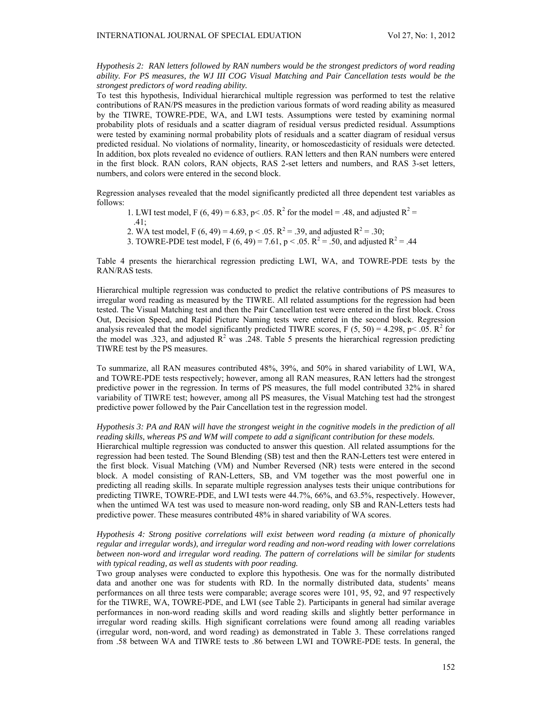*Hypothesis 2: RAN letters followed by RAN numbers would be the strongest predictors of word reading ability. For PS measures, the WJ III COG Visual Matching and Pair Cancellation tests would be the strongest predictors of word reading ability.* 

To test this hypothesis, Individual hierarchical multiple regression was performed to test the relative contributions of RAN/PS measures in the prediction various formats of word reading ability as measured by the TIWRE, TOWRE-PDE, WA, and LWI tests. Assumptions were tested by examining normal probability plots of residuals and a scatter diagram of residual versus predicted residual. Assumptions were tested by examining normal probability plots of residuals and a scatter diagram of residual versus predicted residual. No violations of normality, linearity, or homoscedasticity of residuals were detected. In addition, box plots revealed no evidence of outliers. RAN letters and then RAN numbers were entered in the first block. RAN colors, RAN objects, RAS 2-set letters and numbers, and RAS 3-set letters, numbers, and colors were entered in the second block.

Regression analyses revealed that the model significantly predicted all three dependent test variables as follows:

1. LWI test model, F (6, 49) = 6.83, p < .05. R<sup>2</sup> for the model = .48, and adjusted R<sup>2</sup> =

.41;

- 2. WA test model, F (6, 49) = 4.69, p < .05.  $R^2 = 0.39$ , and adjusted  $R^2 = 0.30$ ;
- 3. TOWRE-PDE test model, F  $(6, 49) = 7.61$ , p < .05. R<sup>2</sup> = .50, and adjusted R<sup>2</sup> = .44

Table 4 presents the hierarchical regression predicting LWI, WA, and TOWRE-PDE tests by the RAN/RAS tests.

Hierarchical multiple regression was conducted to predict the relative contributions of PS measures to irregular word reading as measured by the TIWRE. All related assumptions for the regression had been tested. The Visual Matching test and then the Pair Cancellation test were entered in the first block. Cross Out, Decision Speed, and Rapid Picture Naming tests were entered in the second block. Regression analysis revealed that the model significantly predicted TIWRE scores, F (5, 50) = 4.298, p < .05. R<sup>2</sup> for the model was .323, and adjusted  $\mathbb{R}^2$  was .248. Table 5 presents the hierarchical regression predicting TIWRE test by the PS measures.

To summarize, all RAN measures contributed 48%, 39%, and 50% in shared variability of LWI, WA, and TOWRE-PDE tests respectively; however, among all RAN measures, RAN letters had the strongest predictive power in the regression. In terms of PS measures, the full model contributed 32% in shared variability of TIWRE test; however, among all PS measures, the Visual Matching test had the strongest predictive power followed by the Pair Cancellation test in the regression model.

### *Hypothesis 3: PA and RAN will have the strongest weight in the cognitive models in the prediction of all reading skills, whereas PS and WM will compete to add a significant contribution for these models.*

Hierarchical multiple regression was conducted to answer this question. All related assumptions for the regression had been tested. The Sound Blending (SB) test and then the RAN-Letters test were entered in the first block. Visual Matching (VM) and Number Reversed (NR) tests were entered in the second block. A model consisting of RAN-Letters, SB, and VM together was the most powerful one in predicting all reading skills. In separate multiple regression analyses tests their unique contributions for predicting TIWRE, TOWRE-PDE, and LWI tests were 44.7%, 66%, and 63.5%, respectively. However, when the untimed WA test was used to measure non-word reading, only SB and RAN-Letters tests had predictive power. These measures contributed 48% in shared variability of WA scores.

*Hypothesis 4: Strong positive correlations will exist between word reading (a mixture of phonically regular and irregular words), and irregular word reading and non-word reading with lower correlations between non-word and irregular word reading. The pattern of correlations will be similar for students with typical reading, as well as students with poor reading.* 

Two group analyses were conducted to explore this hypothesis. One was for the normally distributed data and another one was for students with RD. In the normally distributed data, students' means performances on all three tests were comparable; average scores were 101, 95, 92, and 97 respectively for the TIWRE, WA, TOWRE-PDE, and LWI (see Table 2). Participants in general had similar average performances in non-word reading skills and word reading skills and slightly better performance in irregular word reading skills. High significant correlations were found among all reading variables (irregular word, non-word, and word reading) as demonstrated in Table 3. These correlations ranged from .58 between WA and TIWRE tests to .86 between LWI and TOWRE-PDE tests. In general, the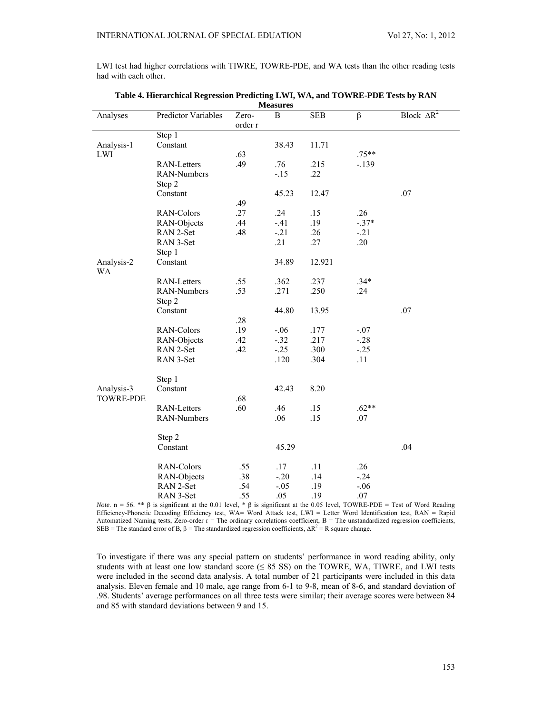LWI test had higher correlations with TIWRE, TOWRE-PDE, and WA tests than the other reading tests had with each other.

|                  |                     |                  | <b>Nicasul es</b> |            |         |                               |
|------------------|---------------------|------------------|-------------------|------------|---------|-------------------------------|
| Analyses         | Predictor Variables | Zero-<br>order r | B                 | <b>SEB</b> | $\beta$ | Block $\overline{\Delta R^2}$ |
|                  | Step 1              |                  |                   |            |         |                               |
| Analysis-1       | Constant            |                  | 38.43             | 11.71      |         |                               |
| LWI              |                     | .63              |                   |            | $.75**$ |                               |
|                  | <b>RAN-Letters</b>  | .49              | .76               | .215       | $-.139$ |                               |
|                  | RAN-Numbers         |                  | $-15$             | .22        |         |                               |
|                  | Step 2              |                  |                   |            |         |                               |
|                  | Constant            |                  | 45.23             | 12.47      |         | .07                           |
|                  |                     | .49              |                   |            |         |                               |
|                  | RAN-Colors          | .27              | .24               | .15        | .26     |                               |
|                  | RAN-Objects         | .44              | $-41$             | .19        | $-.37*$ |                               |
|                  | RAN 2-Set           | .48              | $-21$             | .26        | $-.21$  |                               |
|                  | RAN 3-Set           |                  | .21               | .27        | .20     |                               |
|                  | Step 1              |                  |                   |            |         |                               |
| Analysis-2       | Constant            |                  | 34.89             | 12.921     |         |                               |
| WA               |                     |                  |                   |            |         |                               |
|                  | <b>RAN-Letters</b>  | .55              | .362              | .237       | $.34*$  |                               |
|                  | RAN-Numbers         | .53              | .271              | .250       | .24     |                               |
|                  | Step 2              |                  |                   |            |         |                               |
|                  | Constant            |                  | 44.80             | 13.95      |         | .07                           |
|                  |                     | .28              |                   |            |         |                               |
|                  | RAN-Colors          | .19              | $-.06$            | .177       | $-.07$  |                               |
|                  | RAN-Objects         | .42              | $-.32$            | .217       | $-.28$  |                               |
|                  | RAN 2-Set           | .42              | $-0.25$           | .300       | $-.25$  |                               |
|                  | RAN 3-Set           |                  | .120              | .304       | .11     |                               |
|                  |                     |                  |                   |            |         |                               |
|                  | Step 1              |                  |                   |            |         |                               |
| Analysis-3       | Constant            |                  | 42.43             | 8.20       |         |                               |
| <b>TOWRE-PDE</b> |                     | .68              |                   |            |         |                               |
|                  | <b>RAN-Letters</b>  | .60              | .46               | .15        | $.62**$ |                               |
|                  | RAN-Numbers         |                  | .06               | .15        | .07     |                               |
|                  |                     |                  |                   |            |         |                               |
|                  | Step 2              |                  |                   |            |         |                               |
|                  | Constant            |                  | 45.29             |            |         | .04                           |
|                  | RAN-Colors          | .55              | .17               | .11        | .26     |                               |
|                  | RAN-Objects         | .38              | $-.20$            | .14        | $-.24$  |                               |
|                  | RAN 2-Set           | .54              | $-.05$            | .19        | $-.06$  |                               |
|                  | RAN 3-Set           | .55              | .05               | .19        | $.07\,$ |                               |

| Table 4. Hierarchical Regression Predicting LWI, WA, and TOWRE-PDE Tests by RAN |
|---------------------------------------------------------------------------------|
| <b>Measures</b>                                                                 |

*Note*.  $n = 56$ . \*\* β is significant at the 0.01 level, \* β is significant at the 0.05 level, TOWRE-PDE = Test of Word Reading Efficiency-Phonetic Decoding Efficiency test, WA= Word Attack test, LWI = Letter Word Identification test, RAN = Rapid Automatized Naming tests, Zero-order r = The ordinary correlations coefficient, B = The unstandardized regression coefficients, SEB = The standard error of B,  $\beta$  = The standardized regression coefficients,  $\Delta R^2 = R$  square change.

To investigate if there was any special pattern on students' performance in word reading ability, only students with at least one low standard score ( $\leq$  85 SS) on the TOWRE, WA, TIWRE, and LWI tests were included in the second data analysis. A total number of 21 participants were included in this data analysis. Eleven female and 10 male, age range from 6-1 to 9-8, mean of 8-6, and standard deviation of .98. Students' average performances on all three tests were similar; their average scores were between 84 and 85 with standard deviations between 9 and 15.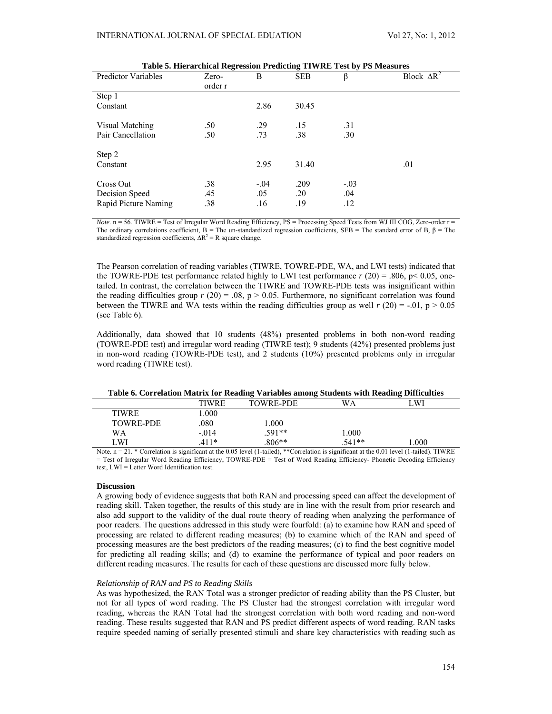| <b>Predictor Variables</b> | Zero-<br>order r | B      | <b>SEB</b> | β      | Block $\Delta R^2$ |
|----------------------------|------------------|--------|------------|--------|--------------------|
| Step 1                     |                  |        |            |        |                    |
| Constant                   |                  | 2.86   | 30.45      |        |                    |
| Visual Matching            | .50              | .29    | .15        | .31    |                    |
| Pair Cancellation          | .50              | .73    | .38        | .30    |                    |
| Step 2                     |                  |        |            |        |                    |
| Constant                   |                  | 2.95   | 31.40      |        | .01                |
| Cross Out                  | .38              | $-.04$ | .209       | $-.03$ |                    |
| Decision Speed             | .45              | .05    | .20        | .04    |                    |
| Rapid Picture Naming       | .38              | .16    | .19        | .12    |                    |

| Table 5. Hierarchical Regression Predicting TIWRE Test by PS Measures |  |  |  |
|-----------------------------------------------------------------------|--|--|--|
|                                                                       |  |  |  |

*Note*. n = 56. TIWRE = Test of Irregular Word Reading Efficiency, PS = Processing Speed Tests from WJ III COG, Zero-order r = The ordinary correlations coefficient,  $B =$  The un-standardized regression coefficients, SEB = The standard error of B,  $\beta$  = The standardized regression coefficients,  $\Delta R^2 = R$  square change.

The Pearson correlation of reading variables (TIWRE, TOWRE-PDE, WA, and LWI tests) indicated that the TOWRE-PDE test performance related highly to LWI test performance  $r(20) = .806$ ,  $p < 0.05$ , onetailed. In contrast, the correlation between the TIWRE and TOWRE-PDE tests was insignificant within the reading difficulties group  $r(20) = .08$ ,  $p > 0.05$ . Furthermore, no significant correlation was found between the TIWRE and WA tests within the reading difficulties group as well  $r(20) = -0.01$ , p  $> 0.05$ (see Table 6).

Additionally, data showed that 10 students (48%) presented problems in both non-word reading (TOWRE-PDE test) and irregular word reading (TIWRE test); 9 students (42%) presented problems just in non-word reading (TOWRE-PDE test), and 2 students (10%) presented problems only in irregular word reading (TIWRE test).

| Table 6. Correlation Matrix for Reading Variables among Students with Reading Difficulties |
|--------------------------------------------------------------------------------------------|
|                                                                                            |

|                         | TIWRE   | <b>TOWRE-PDE</b> | WA                                                                                                                                                                                                                                  | WI   |  |
|-------------------------|---------|------------------|-------------------------------------------------------------------------------------------------------------------------------------------------------------------------------------------------------------------------------------|------|--|
| <b>TIWRE</b>            | 000     |                  |                                                                                                                                                                                                                                     |      |  |
| <b>TOWRE-PDE</b>        | .080    | .000             |                                                                                                                                                                                                                                     |      |  |
| WA                      | $-.014$ | $.591**$         | l.000                                                                                                                                                                                                                               |      |  |
| LWI                     | 411*    | $.806**$         | $.541**$                                                                                                                                                                                                                            | .000 |  |
| .<br>$\sim$ $\sim$<br>. | $\sim$  |                  | the contract of the contract of the contract of the contract of the contract of the contract of the contract of the contract of the contract of the contract of the contract of the contract of the contract of the contract o<br>. |      |  |

Note. n = 21. \* Correlation is significant at the 0.05 level (1-tailed), \*\*Correlation is significant at the 0.01 level (1-tailed). TIWRE = Test of Irregular Word Reading Efficiency, TOWRE-PDE = Test of Word Reading Efficiency- Phonetic Decoding Efficiency test, LWI = Letter Word Identification test.

## **Discussion**

A growing body of evidence suggests that both RAN and processing speed can affect the development of reading skill. Taken together, the results of this study are in line with the result from prior research and also add support to the validity of the dual route theory of reading when analyzing the performance of poor readers. The questions addressed in this study were fourfold: (a) to examine how RAN and speed of processing are related to different reading measures; (b) to examine which of the RAN and speed of processing measures are the best predictors of the reading measures; (c) to find the best cognitive model for predicting all reading skills; and (d) to examine the performance of typical and poor readers on different reading measures. The results for each of these questions are discussed more fully below.

### *Relationship of RAN and PS to Reading Skills*

As was hypothesized, the RAN Total was a stronger predictor of reading ability than the PS Cluster, but not for all types of word reading. The PS Cluster had the strongest correlation with irregular word reading, whereas the RAN Total had the strongest correlation with both word reading and non-word reading. These results suggested that RAN and PS predict different aspects of word reading. RAN tasks require speeded naming of serially presented stimuli and share key characteristics with reading such as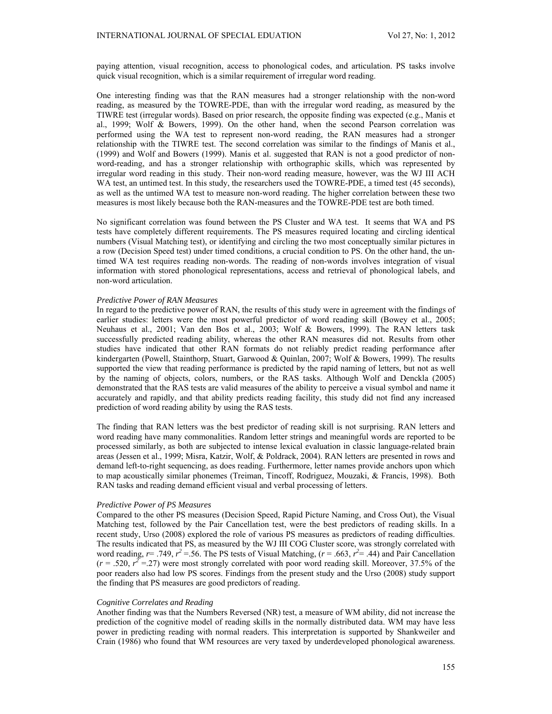paying attention, visual recognition, access to phonological codes, and articulation. PS tasks involve quick visual recognition, which is a similar requirement of irregular word reading.

One interesting finding was that the RAN measures had a stronger relationship with the non-word reading, as measured by the TOWRE-PDE, than with the irregular word reading, as measured by the TIWRE test (irregular words). Based on prior research, the opposite finding was expected (e.g., Manis et al., 1999; Wolf & Bowers, 1999). On the other hand, when the second Pearson correlation was performed using the WA test to represent non-word reading, the RAN measures had a stronger relationship with the TIWRE test. The second correlation was similar to the findings of Manis et al., (1999) and Wolf and Bowers (1999). Manis et al. suggested that RAN is not a good predictor of nonword-reading, and has a stronger relationship with orthographic skills, which was represented by irregular word reading in this study. Their non-word reading measure, however, was the WJ III ACH WA test, an untimed test. In this study, the researchers used the TOWRE-PDE, a timed test (45 seconds), as well as the untimed WA test to measure non-word reading. The higher correlation between these two measures is most likely because both the RAN-measures and the TOWRE-PDE test are both timed.

No significant correlation was found between the PS Cluster and WA test. It seems that WA and PS tests have completely different requirements. The PS measures required locating and circling identical numbers (Visual Matching test), or identifying and circling the two most conceptually similar pictures in a row (Decision Speed test) under timed conditions, a crucial condition to PS. On the other hand, the untimed WA test requires reading non-words. The reading of non-words involves integration of visual information with stored phonological representations, access and retrieval of phonological labels, and non-word articulation.

### *Predictive Power of RAN Measures*

In regard to the predictive power of RAN, the results of this study were in agreement with the findings of earlier studies: letters were the most powerful predictor of word reading skill (Bowey et al., 2005; Neuhaus et al., 2001; Van den Bos et al., 2003; Wolf & Bowers, 1999). The RAN letters task successfully predicted reading ability, whereas the other RAN measures did not. Results from other studies have indicated that other RAN formats do not reliably predict reading performance after kindergarten (Powell, Stainthorp, Stuart, Garwood & Quinlan, 2007; Wolf & Bowers, 1999). The results supported the view that reading performance is predicted by the rapid naming of letters, but not as well by the naming of objects, colors, numbers, or the RAS tasks. Although Wolf and Denckla (2005) demonstrated that the RAS tests are valid measures of the ability to perceive a visual symbol and name it accurately and rapidly, and that ability predicts reading facility, this study did not find any increased prediction of word reading ability by using the RAS tests.

The finding that RAN letters was the best predictor of reading skill is not surprising. RAN letters and word reading have many commonalities. Random letter strings and meaningful words are reported to be processed similarly, as both are subjected to intense lexical evaluation in classic language-related brain areas (Jessen et al., 1999; Misra, Katzir, Wolf, & Poldrack, 2004). RAN letters are presented in rows and demand left-to-right sequencing, as does reading. Furthermore, letter names provide anchors upon which to map acoustically similar phonemes (Treiman, Tincoff, Rodriguez, Mouzaki, & Francis, 1998). Both RAN tasks and reading demand efficient visual and verbal processing of letters.

#### *Predictive Power of PS Measures*

Compared to the other PS measures (Decision Speed, Rapid Picture Naming, and Cross Out), the Visual Matching test, followed by the Pair Cancellation test, were the best predictors of reading skills. In a recent study, Urso (2008) explored the role of various PS measures as predictors of reading difficulties. The results indicated that PS, as measured by the WJ III COG Cluster score, was strongly correlated with word reading,  $r = .749$ ,  $r^2 = .56$ . The PS tests of Visual Matching, ( $r = .663$ ,  $r^2 = .44$ ) and Pair Cancellation  $(r = .520, r^2 = .27)$  were most strongly correlated with poor word reading skill. Moreover, 37.5% of the poor readers also had low PS scores. Findings from the present study and the Urso (2008) study support the finding that PS measures are good predictors of reading.

#### *Cognitive Correlates and Reading*

Another finding was that the Numbers Reversed (NR) test, a measure of WM ability, did not increase the prediction of the cognitive model of reading skills in the normally distributed data. WM may have less power in predicting reading with normal readers. This interpretation is supported by Shankweiler and Crain (1986) who found that WM resources are very taxed by underdeveloped phonological awareness.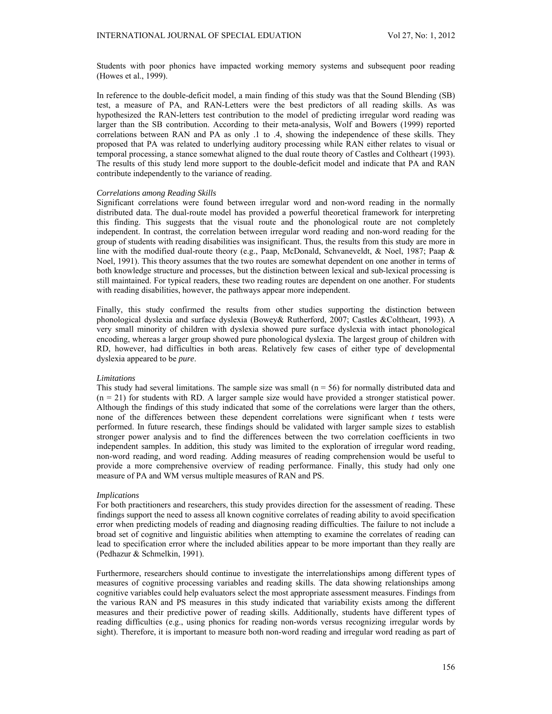Students with poor phonics have impacted working memory systems and subsequent poor reading (Howes et al., 1999).

In reference to the double-deficit model, a main finding of this study was that the Sound Blending (SB) test, a measure of PA, and RAN-Letters were the best predictors of all reading skills. As was hypothesized the RAN-letters test contribution to the model of predicting irregular word reading was larger than the SB contribution. According to their meta-analysis, Wolf and Bowers (1999) reported correlations between RAN and PA as only .1 to .4, showing the independence of these skills. They proposed that PA was related to underlying auditory processing while RAN either relates to visual or temporal processing, a stance somewhat aligned to the dual route theory of Castles and Coltheart (1993). The results of this study lend more support to the double-deficit model and indicate that PA and RAN contribute independently to the variance of reading.

### *Correlations among Reading Skills*

Significant correlations were found between irregular word and non-word reading in the normally distributed data. The dual-route model has provided a powerful theoretical framework for interpreting this finding. This suggests that the visual route and the phonological route are not completely independent. In contrast, the correlation between irregular word reading and non-word reading for the group of students with reading disabilities was insignificant. Thus, the results from this study are more in line with the modified dual-route theory (e.g., Paap, McDonald, Schvaneveldt, & Noel, 1987; Paap & Noel, 1991). This theory assumes that the two routes are somewhat dependent on one another in terms of both knowledge structure and processes, but the distinction between lexical and sub-lexical processing is still maintained. For typical readers, these two reading routes are dependent on one another. For students with reading disabilities, however, the pathways appear more independent.

Finally, this study confirmed the results from other studies supporting the distinction between phonological dyslexia and surface dyslexia (Bowey& Rutherford, 2007; Castles &Coltheart, 1993). A very small minority of children with dyslexia showed pure surface dyslexia with intact phonological encoding, whereas a larger group showed pure phonological dyslexia. The largest group of children with RD, however, had difficulties in both areas. Relatively few cases of either type of developmental dyslexia appeared to be *pure*.

#### *Limitations*

This study had several limitations. The sample size was small  $(n = 56)$  for normally distributed data and  $(n = 21)$  for students with RD. A larger sample size would have provided a stronger statistical power. Although the findings of this study indicated that some of the correlations were larger than the others, none of the differences between these dependent correlations were significant when *t* tests were performed. In future research, these findings should be validated with larger sample sizes to establish stronger power analysis and to find the differences between the two correlation coefficients in two independent samples. In addition, this study was limited to the exploration of irregular word reading, non-word reading, and word reading. Adding measures of reading comprehension would be useful to provide a more comprehensive overview of reading performance. Finally, this study had only one measure of PA and WM versus multiple measures of RAN and PS.

#### *Implications*

For both practitioners and researchers, this study provides direction for the assessment of reading. These findings support the need to assess all known cognitive correlates of reading ability to avoid specification error when predicting models of reading and diagnosing reading difficulties. The failure to not include a broad set of cognitive and linguistic abilities when attempting to examine the correlates of reading can lead to specification error where the included abilities appear to be more important than they really are (Pedhazur & Schmelkin, 1991).

Furthermore, researchers should continue to investigate the interrelationships among different types of measures of cognitive processing variables and reading skills. The data showing relationships among cognitive variables could help evaluators select the most appropriate assessment measures. Findings from the various RAN and PS measures in this study indicated that variability exists among the different measures and their predictive power of reading skills. Additionally, students have different types of reading difficulties (e.g., using phonics for reading non-words versus recognizing irregular words by sight). Therefore, it is important to measure both non-word reading and irregular word reading as part of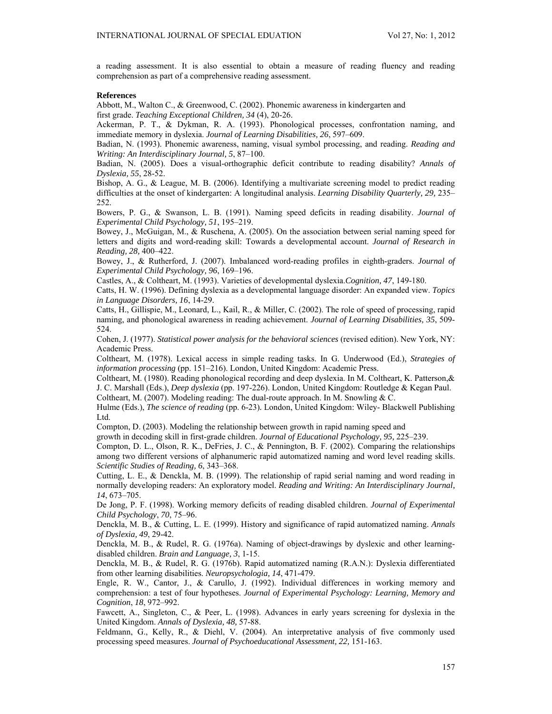a reading assessment. It is also essential to obtain a measure of reading fluency and reading comprehension as part of a comprehensive reading assessment.

#### **References**

Abbott, M., Walton C., & Greenwood, C. (2002). Phonemic awareness in kindergarten and first grade. *Teaching Exceptional Children, 34* (4), 20-26.

Ackerman, P. T., & Dykman, R. A. (1993). Phonological processes, confrontation naming, and immediate memory in dyslexia. *Journal of Learning Disabilities, 26*, 597–609.

Badian, N. (1993). Phonemic awareness, naming, visual symbol processing, and reading. *Reading and Writing: An Interdisciplinary Journal, 5*, 87–100.

Badian, N. (2005). Does a visual-orthographic deficit contribute to reading disability? *Annals of Dyslexia, 55*, 28-52.

Bishop, A. G., & League, M. B. (2006). Identifying a multivariate screening model to predict reading difficulties at the onset of kindergarten: A longitudinal analysis. *Learning Disability Quarterly, 29,* 235– 252.

Bowers, P. G., & Swanson, L. B. (1991). Naming speed deficits in reading disability. *Journal of Experimental Child Psychology, 51*, 195–219.

Bowey, J., McGuigan, M., & Ruschena, A. (2005). On the association between serial naming speed for letters and digits and word-reading skill: Towards a developmental account. *Journal of Research in Reading, 28,* 400–422.

Bowey, J., & Rutherford, J. (2007). Imbalanced word-reading profiles in eighth-graders. *Journal of Experimental Child Psychology, 96*, 169–196.

Castles, A., & Coltheart, M. (1993). Varieties of developmental dyslexia.*Cognition, 47*, 149-180.

Catts, H. W. (1996). Defining dyslexia as a developmental language disorder: An expanded view. *Topics in Language Disorders, 16*, 14-29.

Catts, H., Gillispie, M., Leonard, L., Kail, R., & Miller, C. (2002). The role of speed of processing, rapid naming, and phonological awareness in reading achievement. *Journal of Learning Disabilities, 35*, 509- 524.

Cohen, J. (1977). *Statistical power analysis for the behavioral sciences* (revised edition). New York, NY: Academic Press.

Coltheart, M. (1978). Lexical access in simple reading tasks. In G. Underwood (Ed.), *Strategies of information processing* (pp. 151–216). London, United Kingdom: Academic Press.

Coltheart, M. (1980). Reading phonological recording and deep dyslexia. In M. Coltheart, K. Patterson,& J. C. Marshall (Eds.), *Deep dyslexia* (pp. 197-226). London, United Kingdom: Routledge & Kegan Paul. Coltheart, M. (2007). Modeling reading: The dual-route approach. In M. Snowling & C.

Hulme (Eds.), *The science of reading* (pp. 6-23)*.* London, United Kingdom: Wiley- Blackwell Publishing Ltd.

Compton, D. (2003). Modeling the relationship between growth in rapid naming speed and

growth in decoding skill in first-grade children. *Journal of Educational Psychology, 95,* 225–239.

Compton, D. L., Olson, R. K., DeFries, J. C., & Pennington, B. F. (2002). Comparing the relationships among two different versions of alphanumeric rapid automatized naming and word level reading skills. *Scientific Studies of Reading, 6*, 343–368.

Cutting, L. E., & Denckla, M. B. (1999). The relationship of rapid serial naming and word reading in normally developing readers: An exploratory model. *Reading and Writing: An Interdisciplinary Journal, 14*, 673–705.

De Jong, P. F. (1998). Working memory deficits of reading disabled children. *Journal of Experimental Child Psychology*, *70*, 75–96.

Denckla, M. B., & Cutting, L. E. (1999). History and significance of rapid automatized naming. *Annals of Dyslexia, 49*, 29-42.

Denckla, M. B., & Rudel, R. G. (1976a). Naming of object-drawings by dyslexic and other learningdisabled children. *Brain and Language, 3*, 1-15.

Denckla, M. B., & Rudel, R. G. (1976b). Rapid automatized naming (R.A.N.): Dyslexia differentiated from other learning disabilities. *Neuropsychologia, 14*, 471-479.

Engle, R. W., Cantor, J., & Carullo, J. (1992). Individual differences in working memory and comprehension: a test of four hypotheses. *Journal of Experimental Psychology: Learning, Memory and Cognition*, *18*, 972–992.

Fawcett, A., Singleton, C., & Peer, L. (1998). Advances in early years screening for dyslexia in the United Kingdom. *Annals of Dyslexia, 48,* 57-88.

Feldmann, G., Kelly, R., & Diehl, V. (2004). An interpretative analysis of five commonly used processing speed measures. *Journal of Psychoeducational Assessment, 22,* 151-163.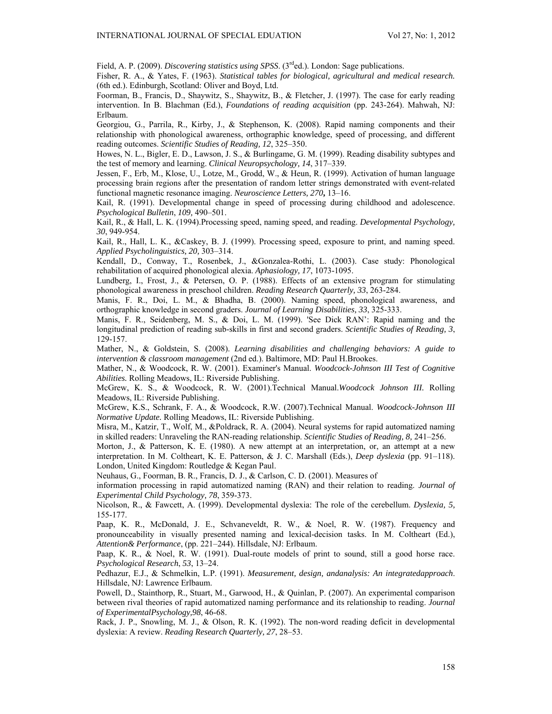Field, A. P. (2009). *Discovering statistics using SPSS*. (3<sup>rd</sup>ed.). London: Sage publications.

Fisher, R. A., & Yates, F. (1963). *Statistical tables for biological, agricultural and medical research.*  (6th ed.). Edinburgh, Scotland: Oliver and Boyd, Ltd.

Foorman, B., Francis, D., Shaywitz, S., Shaywitz, B., & Fletcher, J. (1997). The case for early reading intervention. In B. Blachman (Ed.), *Foundations of reading acquisition* (pp. 243-264). Mahwah, NJ: Erlbaum.

Georgiou, G., Parrila, R., Kirby, J., & Stephenson, K. (2008). Rapid naming components and their relationship with phonological awareness, orthographic knowledge, speed of processing, and different reading outcomes. *Scientific Studies of Reading, 12*, 325–350.

Howes, N. L., Bigler, E. D., Lawson, J. S., & Burlingame, G. M. (1999). Reading disability subtypes and the test of memory and learning. *Clinical Neuropsychology, 14*, 317–339.

Jessen, F., Erb, M., Klose, U., Lotze, M., Grodd, W., & Heun, R. (1999). Activation of human language processing brain regions after the presentation of random letter strings demonstrated with event-related functional magnetic resonance imaging. *Neuroscience Letters, 270***,** 13–16.

Kail, R. (1991). Developmental change in speed of processing during childhood and adolescence. *Psychological Bulletin*, *109,* 490–501.

Kail, R., & Hall, L. K. (1994).Processing speed, naming speed, and reading. *Developmental Psychology, 30*, 949-954.

Kail, R., Hall, L. K., &Caskey, B. J. (1999). Processing speed, exposure to print, and naming speed. *Applied Psycholinguistics, 20,* 303–314.

Kendall, D., Conway, T., Rosenbek, J., &Gonzalea-Rothi, L. (2003). Case study: Phonological rehabilitation of acquired phonological alexia. *Aphasiology, 17*, 1073-1095.

Lundberg, I., Frost, J., & Petersen, O. P. (1988). Effects of an extensive program for stimulating phonological awareness in preschool children. *Reading Research Quarterly, 33*, 263-284.

Manis, F. R., Doi, L. M., & Bhadha, B. (2000). Naming speed, phonological awareness, and orthographic knowledge in second graders. *Journal of Learning Disabilities, 33*, 325-333.

Manis, F. R., Seidenberg, M. S., & Doi, L. M. (1999). 'See Dick RAN': Rapid naming and the longitudinal prediction of reading sub-skills in first and second graders. *Scientific Studies of Reading, 3*, 129-157.

Mather, N., & Goldstein, S. (2008). *Learning disabilities and challenging behaviors: A guide to intervention & classroom management* (2nd ed.). Baltimore, MD: Paul H.Brookes.

Mather, N., & Woodcock, R. W. (2001). Examiner's Manual. *Woodcock-Johnson III Test of Cognitive Abilities.* Rolling Meadows, IL: Riverside Publishing.

McGrew, K. S., & Woodcock, R. W. (2001).Technical Manual.*Woodcock Johnson III.* Rolling Meadows, IL: Riverside Publishing.

McGrew, K.S., Schrank, F. A., & Woodcock, R.W. (2007).Technical Manual. *Woodcock-Johnson III Normative Update.* Rolling Meadows, IL: Riverside Publishing.

Misra, M., Katzir, T., Wolf, M., &Poldrack, R. A. (2004). Neural systems for rapid automatized naming in skilled readers: Unraveling the RAN-reading relationship. *Scientific Studies of Reading, 8,* 241–256.

Morton, J., & Patterson, K. E. (1980). A new attempt at an interpretation, or, an attempt at a new interpretation. In M. Coltheart, K. E. Patterson, & J. C. Marshall (Eds.), *Deep dyslexia* (pp. 91–118). London, United Kingdom: Routledge & Kegan Paul.

Neuhaus, G., Foorman, B. R., Francis, D. J., & Carlson, C. D. (2001). Measures of

information processing in rapid automatized naming (RAN) and their relation to reading. *Journal of Experimental Child Psychology, 78*, 359-373.

Nicolson, R., & Fawcett, A. (1999). Developmental dyslexia: The role of the cerebellum. *Dyslexia, 5,* 155-177.

Paap, K. R., McDonald, J. E., Schvaneveldt, R. W., & Noel, R. W. (1987). Frequency and pronounceability in visually presented naming and lexical-decision tasks. In M. Coltheart (Ed.), *Attention& Performance*, (pp. 221–244). Hillsdale, NJ: Erlbaum.

Paap, K. R., & Noel, R. W. (1991). Dual-route models of print to sound, still a good horse race. *Psychological Research*, *53*, 13–24.

Pedhazur, E.J., & Schmelkin, L.P. (1991). *Measurement, design, andanalysis: An integratedapproach*. Hillsdale, NJ: Lawrence Erlbaum.

Powell, D., Stainthorp, R., Stuart, M., Garwood, H., & Quinlan, P. (2007). An experimental comparison between rival theories of rapid automatized naming performance and its relationship to reading. *Journal of ExperimentalPsychology,98*, 46-68.

Rack, J. P., Snowling, M. J., & Olson, R. K. (1992). The non-word reading deficit in developmental dyslexia: A review. *Reading Research Quarterly, 27*, 28–53.